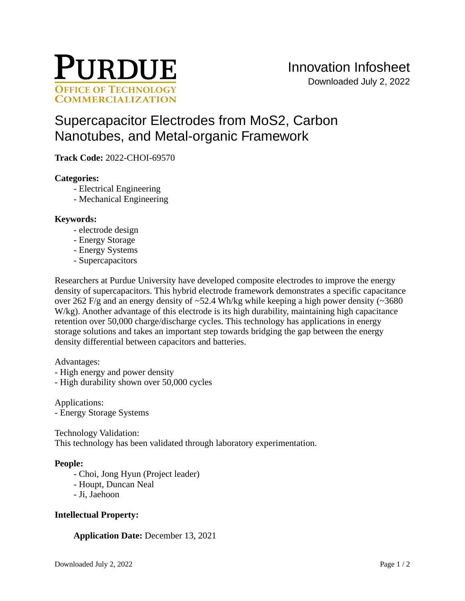

# [Supercapacitor Electrodes from MoS2, Carbon](https://inventions.prf.org/innovation/8181)  [Nanotubes, and Metal-organic Framework](https://inventions.prf.org/innovation/8181)

**Track Code:** 2022-CHOI-69570

## **Categories:**

- Electrical Engineering
- Mechanical Engineering

## **Keywords:**

- electrode design
- Energy Storage
- Energy Systems
- Supercapacitors

Researchers at Purdue University have developed composite electrodes to improve the energy density of supercapacitors. This hybrid electrode framework demonstrates a specific capacitance over 262 F/g and an energy density of  $\sim$  52.4 Wh/kg while keeping a high power density ( $\sim$  3680 W/kg). Another advantage of this electrode is its high durability, maintaining high capacitance retention over 50,000 charge/discharge cycles. This technology has applications in energy storage solutions and takes an important step towards bridging the gap between the energy density differential between capacitors and batteries.

Advantages:

- High energy and power density
- High durability shown over 50,000 cycles

Applications: - Energy Storage Systems

Technology Validation: This technology has been validated through laboratory experimentation.

#### **People:**

- Choi, Jong Hyun (Project leader)
- Houpt, Duncan Neal
- Ji, Jaehoon

# **Intellectual Property:**

# **Application Date:** December 13, 2021